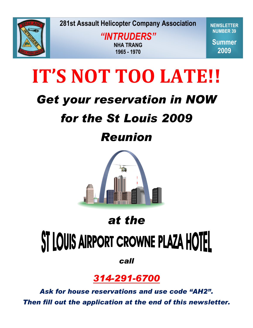

**Spring 2009** *"INTRUDERS"* **NHA TRANG 1965 - 1970**

**NEWSLETTER NUMBER 39**

**Summer 2009**

# **IT'S NOT TOO LATE!!**

## *Get your reservation in NOW*

## *for the St Louis 2009*

## *Reunion*



### *at the*

# ST LOUIS AIRPORT CROWNE PLAZA HOTEL

*call* 

### *314-291-6700*

*Ask for house reservations and use code "AH2". Then fill out the application at the end of this newsletter.*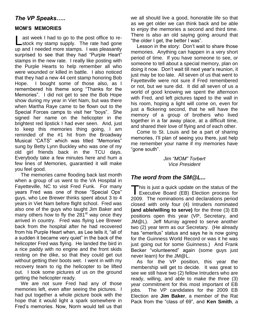#### *The VP Speaks…..*

#### **MOM'S MEMORIES**

ast week I had to go to the post office to re-Last week I had to go to the post office to re-<br>
Lastock my stamp supply. The rate had gone up and I needed more stamps. I was pleasantly surprised to see that they had "Purple Heart" stamps in the new rate. I really like posting with the Purple Hearts to help remember all who were wounded or killed in battle. I also noticed that they had a new 44 cent stamp honoring Bob Hope. I bought some of those also, as I remembered his theme song "Thanks for the Memories". I did not get to see the Bob Hope show during my year in Viet Nam, but was there when Martha Raye came to be flown out to the Special Forces camps to visit her "boys". She signed her name on the helicopter in the brightest red lipstick I had ever seen. And, just to keep this memories thing going, I am reminded of the #1 hit from the Broadway Musical "CATS" which was titled "Memories" sung by Betty Lynn Buckley who was one of my old girl friends back in the TCU days. Everybody take a few minutes here and hum a few lines of Memories, guarantied it will make you feel good.

The memories came flooding back last month when a group of us went to the VA Hospital in Fayetteville, NC to visit Fred Funk. For many years Fred was one of those "Special Ops" guys, who Lee Brewer thinks spent about 3 to 4 years in Viet Nam before flight school. Fred was also one of the guys who taught Jim Baker and many others how to fly the  $281<sup>st</sup>$  way once they arrived in country. Fred was flying Lee Brewer back from the hospital after he had recovered from his Purple Heart when, as Lee tells it, "all of a sudden it became very quiet" in the back of the helicopter Fred was flying. He landed the bird in a rice paddy with no engine and the front skids resting on the dike, so that they could get out without getting their boots wet. I went in with my recovery team to rig the helicopter to be lifted out. I took some pictures of us on the ground getting the helicopter ready.

We are not sure Fred had any of those memories left, even after seeing the pictures. I had put together a whole picture book with the hope that it would light a spark somewhere in Fred's memories. Now, Norm would tell us that we all should live a good, honorable life so that as we get older we can think back and be able to enjoy the memories a second and third time. There is also an old saying going around that "the older I get, the better I was".

Lesson in the story: Don't wait to share those memories. Anything can happen in a very short period of time. If you have someone to see, or someone to tell about a special memory, plan on doing it now. Don't wait till next year's reunion, it just may be too late. All seven of us that went to Fayetteville were not sure if Fred remembered or not, but we sure did. It did all seven of us a world of good knowing we spent the afternoon with Fred, and left pictures taped to the wall in his room, hoping a light will come on, even for just a flickering second, that he will have the memory of a group of brothers who lived together in a far away place, at a difficult time, and shared their love of flying and of each other.

Come to St. Louis and be a part of sharing memories, I'll plan of seeing you there, just help me remember your name if my memories have "gone south".

> *Jim "MOM" Torbert Vice President*

#### *The word from the SM@L...*

 $\blacksquare$  his is just a quick update on the status of the This is just a quick update on the status of the<br>Executive Board (EB) Election process for 2009. The nominations and declarations period closed with only four (4) Intruders nominated **(and able/willing to serve)** for the three (3) EB positions open this year (VP, Secretary, and JM@L). Jeff Murray agreed to serve another two (2) year term as our Secretary. (He already has "emeritus" status and says he is now going for the Guinness World Record or was it he was just going out for some Guinness.) And Frank Becker "volunteered" again (some guys just never learn) for the JM@L.

As for the VP position, this year the membership will get to decide. It was great to see we still have two (2) fellow Intruders who are ready, willing, and able to make the three (3) year commitment for this most important of EB jobs. The VP candidates for the 2009 EB Election are **Jim Baker**, a member of the Rat Pack from the "class of 69", and **Ken Smith**, a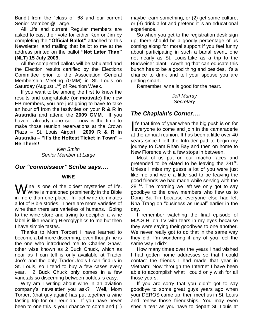Bandit from the "class of '68 and our current Senior Member @ Large.

All Life and current Regular members are asked to cast their vote for either Ken or Jim by completing the **"Official Ballot"** attached to this Newsletter, and mailing that ballot to me at the address printed on the ballot **"Not Later Than" (NLT) 15 July 2009.** 

All the completed ballots will be tabulated and the Election results certified by the Elections Committee prior to the Association General Membership Meeting (GMM) in St. Louis on Saturday (August  $1<sup>st</sup>$ ) of Reunion Week.

If you want to be among the first to know the results and congratulate **(or motivate)** the new EB members, you are just going to have to take an hour off from the festivities on your **R & R in Australia** and attend the **2009 GMM**. If you haven't already done so ....now is the time to make those reunion reservations at the Crown Plaza – St. Louis Airport. **2009 R & R in Australia – "It's the Hottest Ticket in Town" – Be There!!** 

*Ken Smith Senior Member at Large* 

#### *Our "connoisseur" Scribe says….*

#### **WINE**

**W** ine is one of the oldest mysteries of life.<br>
We wine is mentioned prominently in the Bible  $V$  Wine is mentioned prominently in the Bible in more than one place. In fact wine dominates a lot of Bible stories. There are more varieties of wine than there are varieties of humans. Going to the wine store and trying to decipher a wine label is like reading Hieroglyphics to me but then I have simple tastes.

Thanks to Mom Torbert I have learned to become a bit more discerning, even though he is the one who introduced me to Charles Shaw, other wise known as 2 Buck Chuck, which as near as I can tell is only available at Trader Joe's and the only Trader Joe's I can find is in St. Louis, so I tend to buy a few cases every year. 2 Buck Chuck only comes in a few varietals so discerning between bottles is easy.

Why am I writing about wine in an aviation company's newsletter you ask? Well, Mom Torbert (that guy again) has put together a wine tasting trip for our reunion. If you have never been to one this is your chance to come and (1) maybe learn something, or (2) get some culture, or (3) drink a lot and pretend it is an educational experience.

So when you get to the registration desk sign up, there should be a goodly percentage of us coming along for moral support if you feel funny about participating in such a banal event, one not nearly as St. Louis-Like as a trip to the Budweiser plant. Anything that can educate this bunch has to be a good thing and besides, it's a chance to drink and tell your spouse you are getting smart.

Remember, wine is good for the heart.

*Jeff Murray Secretary* 

#### *The Chaplain's Corner….*

t's that time of year when the big push is on for I's that time of year when the big push is on for<br>everyone to come and join in the camaraderie at the annual reunion. It has been a little over 40 years since I left the Intruder pad to begin my journey to Cam Rhan Bay and then on home to New Florence with a few stops in between.

Most of us put on our macho faces and pretended to be elated to be leaving the 281<sup>st</sup>. Unless I miss my guess a lot of you were just like me and were a little sad to be leaving the good friends we had made while serving with the  $281<sup>st</sup>$ . The morning we left we only got to say goodbye to the crew members who flew us to Dong Ba Tin because everyone else had left Nha Trang on "business as usual" earlier in the day.

I remember watching the final episode of M.A.S.H. on TV with tears in my eyes because they were saying their goodbyes to one another. We never really got to do that in the same way they did. I'm wondering if any of you feel the same way I did?

How many times over the years I had wished I had gotten home addresses so that I could contact the friends I had made that year in Vietnam! Now through the Internet I have been able to accomplish what I could only wish for all those years.

If you are sorry that you didn't get to say goodbye to some great guys years ago when your DEROS came up, then meet us in St. Louis and renew those friendships. You may even shed a tear as you have to depart St. Louis at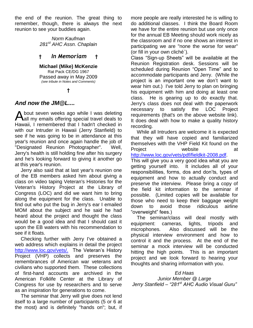the end of the reunion. The great thing to remember, though, there is always the next reunion to see your buddies again.

> *Norm Kaufman 281st AHC Assn. Chaplain*

#### **†** *In Memoriam* **†**

**Michael (Mike) McKenzie**  Rat Pack CE/DG 1967 Passed away in May 2009 *(see tribute in Notes and Comments)* 

#### **†**

#### *And now the JM@L....*

 $\Lambda$  bout seven weeks ago while I was deleting A bout seven weeks ago while I was deleting<br>all my emails offering special travel deals to Hawaii, I remembered that I hadn't checked in with our Intruder in Hawaii (Jerry Stanfield) to see if he was going to be in attendance at this year's reunion and once again handle the job of "Designated Reunion Photographer". Well, Jerry's health is still holding fine after his surgery and he's looking forward to giving it another go at this year's reunion.

Jerry also said that at last year's reunion one of the EB members asked him about giving a class on video taping Veteran's Histories for the Veteran's History Project at the Library of Congress (LOC) and did we want him to bring along the equipment for the class. Unable to find out who put the bug in Jerry's ear I emailed MOM about the subject and he said he had heard about the project and thought the class would be a good idea and that I should cast it upon the EB waters with his recommendation to see if it floats.

Checking further with Jerry I've obtained a web address which explains in detail the project [http://www.loc.gov/vets/.](http://www.loc.gov/vets/) The Veteran's History Project (VHP) collects and preserves the remembrances of American war veterans and civilians who supported them. These collections of first-hand accounts are archived in the American Folklife Center at the Library of Congress for use by researchers and to serve as an inspiration for generations to come.

The seminar that Jerry will give does not lend itself to a large number of participants (5 or 6 at the most) and is definitely "hands on"; but, if more people are really interested he is willing to do additional classes. I think the Board Room we have for the entire reunion but use only once for the annual EB Meeting should work nicely as the classroom and if no one shows an interest in participating we are "none the worse for wear" (or fill in your own cliché`).

Class "Sign-up Sheets" will be available at the Reunion Registration desk. Sessions will be scheduled during Reunion "Open Time" and to accommodate participants and Jerry. (While the project is an important one we don't want to wear him out.) I've told Jerry to plan on bringing his equipment with him and doing at least one class. He is gearing up to do exactly that. Jerry's class does not deal with the paperwork necessary to satisfy the LOC Project requirements (that's on the above website link). It does deal with how to make a quality history recording.

While all Intruders are welcome it is expected that they will have copied and familiarized themselves with the VHP Field Kit found on the Project website at

[http://www.loc.gov/vets/pdf/fieldkit-2008.pdf.](http://www.loc.gov/vets/pdf/fieldkit-2008.pdf)

This will give you a very good idea what you are getting yourself into. It includes all of your responsibilities, forms, dos and don'ts, types of equipment and how to actually conduct and preserve the interview. Please bring a copy of the field kit information to the seminar if possible. (Limited copies will be available for those who need to keep their baggage weight down to avoid those ridiculous airline "overweight" fees.)

The seminar/class will deal mostly with equipment: cameras, lights, tripods and microphones. Also discussed will be the physical interview environment and how to control it and the process. At the end of the seminar a mock interview will be conducted hitting the high points. This is an important project and we look forward to hearing your thoughts and sharing information with you.

#### *Ed Haas Junior Member @ Large Jerry Stanfield – "281st AHC Audio Visual Guru"*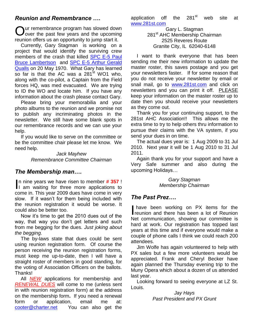#### *Reunion and Remembrance ….*

Our remembrance program has slowed down<br>Oover the past few years and the upcoming Jover the past few years and the upcoming reunion offers us an opportunity to jump start it.

Currently, Gary Stagman is working on a project that would identify the surviving crew members of the crash that killed [SPC E-5 Paul](http://www.281st.com/281Remembrance/remem_html/kia-mia/lambertson.htm)  [Bruce Lambertson](http://www.281st.com/281Remembrance/remem_html/kia-mia/lambertson.htm)and [SPC E-5 Arthur Gerald](http://www.281st.com/281Remembrance/remem_html/kia-mia/qualls.htm)  [Qualls](http://www.281st.com/281Remembrance/remem_html/kia-mia/qualls.htm) on 20 May 1970. What Gary has learned so far is that the AC was a  $281<sup>st</sup>$  WO1 who, along with the co-pilot, a Captain from the Field forces HQ, was med evacuated. We are trying to ID the WO and locate him. If you have any information about the crash please contact Gary.

Please bring your memorabilia and your photo albums to the reunion and we promise not to publish any incriminating photos in the newsletter. We still have some blank spots in our remembrance records and we can use your help.

If you would like to serve on the committee or be the committee chair please let me know. We need help.

> *Jack Mayhew Remembrance Committee Chairman*

#### *The Membership man….*

n nine years we have risen to member **# 357** ! In nine years we have risen to member  $# 357!$ <br>I am waiting for three more applications to come in. This year 2009 dues have come in very slow. If it wasn't for them being included with the reunion registration it would be worse. It could also be better too.

Now it's time to get the 2010 dues out of the way, that way you don't get letters and such from me begging for the dues. *Just joking about the begging.*

The by-laws state that dues could be sent using reunion registration form. Of course the person receiving the reunion registration forms, must keep me up-to-date, then I will have a straight roster of members in good standing, for the voting of Association Officers on the ballots. Thanks!

All *NEW* applications for membership and *RENEWAL DUES* will come to me (unless sent in with reunion registration form) at the address on the membership form**.** If you need a renewal form or application, email me at: [cooter@charter.net](mailto:cooter@charter.net)  You can also get the application off the  $281<sup>st</sup>$  web site at [www.281st.com](http://www.281st.com/) 

> Gary L. Stagman 281<sup>st</sup> AHC Membership Chairman 2525 Reveres Route Granite City, IL 62040-6148

I want to thank everyone that has been sending me their new information to update the master roster, this saves postage and you get your newsletters faster. If for some reason that you do not receive your newsletter by email or snail mail, go to [www.281st.com](http://www.281st.com/) and click on newsletters and you can print it off. PLEASE keep your information on the master roster up to date then you should receive your newsletters as they come out.

Thank you for your continuing support, to the 281st AHC Association!! This allows me the extra time to try to help others thru information to pursue their claims with the VA system, if you send your dues in on time.

The actual dues year is: 1 Aug 2009 to 31 Jul 2010. Next year it will be 1 Aug 2010 to 31 Jul 2011.

Again thank you for your support and have a Very Safe summer and also during the upcoming Holidays…

> *Gary Stagman Membership Chairman*

#### *The Past Prez….*

 have been working on PX items for the have been working on PX items for the reunion and there has been a lot of Reunion Net communication, showing our committee is hard at work. Our registration has topped last years at this time and if everyone would make a couple of phone calls I think we could reach 200 attendees.

Jim Wolfe has again volunteered to help with PX sales but a few more volunteers would be appreciated. Frank and Cheryl Becker have again planned the Thursday evening trip to the Muny Opera which about a dozen of us attended last year.

Looking forward to seeing everyone at LZ St. Louis.

> *Jay Hays Past President and PX Grunt*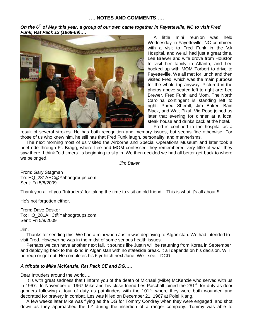#### *On the 6th of May this year, a group of our own came together in Fayetteville, NC to visit Fred Funk, Rat Pack 12 (1968-69)….*



A little mini reunion was held Wednesday in Fayetteville, NC combined with a visit to Fred Funk in the VA Hospital, and we all had just a great time. Lee Brewer and wife drove from Houston to visit her family in Atlanta, and Lee hooked up with MOM Torbert to drive to Fayetteville. We all met for lunch and then visited Fred, which was the main purpose for the whole trip anyway. Pictured in the photos above seated left to right are: Lee Brewer, Fred Funk, and Mom. The North Carolina contingent is standing left to right: Phred Sherrill, Jim Baker, Bain Black, and Walt Pikul. Vic Rose joined us later that evening for dinner at a local steak house and drinks back at the hotel. Fred is confined to the hospital as a

result of several strokes. He has both recognition and memory issues, but seems fine otherwise. For those of us who knew him, he still has that Fred Funk laugh, personality, and mannerisms.

The next morning most of us visited the Airborne and Special Operations Museum and later took a brief ride through Ft. Bragg, where Lee and MOM confessed they remembered very little of what they saw there. I think "old timers" is beginning to slip in. We then decided we had all better get back to where we belonged.

*Jim Baker*

From: Gary Stagman To: HQ\_281AHC@Yahoogroups.com Sent: Fri 5/8/2009

Thank you all of you "Intruders" for taking the time to visit an old friend... This is what it's all about!!!

He's not forgotten either.

From: Dave Dosker To: HQ\_281AHC@Yahoogroups.com Sent: Fri 5/8/2009

Jim,

Thanks for sending this. We had a mini when Justin was deploying to Afganistan. We had intended to visit Fred. However he was in the midst of some serious health issues.

Perhaps we can have another next fall. It sounds like Justin will be returning from Korea in September and deploying back to the 82nd in Afganistan with no stateside break. It all depends on his decision. Will he reup or get out. He completes his 6 yr hitch next June. We'll see. DCD

#### *A tribute to Mike McKenzie, Rat Pack CE and DG…..*

Dear Intruders around the world….

It is with great sadness that I inform you of the death of Michael (Mike) McKenzie who served with us in 1967. In November of 1967 Mike and his close friend Les Paschall joined the 281<sup>st.</sup> for duty as door gunners following a tour of duty as pathfinders with the 101<sup>st</sup> where they were both wounded and decorated for bravery in combat. Les was killed on December 21, 1967 at Polei Klang.

A few weeks later Mike was flying as the DG for Tommy Condrey when they were engaged and shot down as they approached the LZ during the insertion of a ranger company. Tommy was able to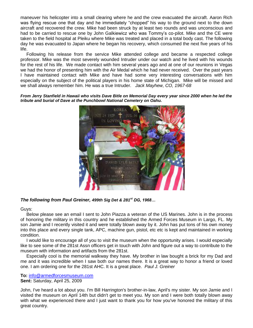maneuver his helicopter into a small clearing where he and the crew evacuated the aircraft. Aaron Rich was flying rescue one that day and he immediately "chopped" his way to the ground next to the down aircraft and recovered the crew. Mike had been struck by at least two rounds and was unconscious and had to be carried to rescue one by John Galkiewicz who was Tommy's co-pilot. Mike and the CE were taken to the field hospital at Pleiku where Mike was treated and placed in a total body cast. The following day he was evacuated to Japan where he began his recovery, which consumed the next five years of his life.

Following his release from the service Mike attended college and became a respected college professor. Mike was the most severely wounded Intruder under our watch and he lived with his wounds for the rest of his life. We made contact with him several years ago and at one of our reunions in Vegas we had the honor of presenting him with the Air Medal which he had never received. Over the past years I have maintained contact with Mike and have had some very interesting conversations with him especially on the subject of the political players in his home state of Michigan. Mike will be missed and we shall always remember him. He was a true Intruder. *Jack Mayhew, CO, 1967-68*

*From Jerry Stanfield in Hawaii who visits Dave Bitle on Memorial Day every year since 2000 when he led the tribute and burial of Dave at the Punchbowl National Cemetery on Oahu.* 



#### *The following from Paul Greiner, 499th Sig Det & 281st DG, 1968…*

Guys:

Below please see an email I sent to John Piazza a veteran of the US Marines. John is in the process of honoring the military in this country and he established the Armed Forces Museum in Largo, FL. My son Jamie and I recently visited it and were totally blown away by it. John has put tons of his own money into this place and every single tank, APC, machine gun, pistol, etc etc is kept and maintained in working condition.

I would like to encourage all of you to visit the museum when the opportunity arises. I would especially like to see some of the 281st Assn officers get in touch with John and figure out a way to contribute to the museum with information and artifacts from the 281st.

Especially cool is the memorial walkway they have. My brother in law bought a brick for my Dad and me and it was incredible when I saw both our names there. It is a great way to honor a friend or loved one. I am ordering one for the 281st AHC. It is a great place. *Paul J. Greiner* 

**To:** [info@armedforcesmuseum.com](mailto:info@armedforcesmuseum.com)  **Sent:** Saturday, April 25, 2009

John, I've heard a lot about you. I'm Bill Harrington's brother-in-law, April's my sister. My son Jamie and I visited the museum on April 14th but didn't get to meet you. My son and I were both totally blown away with what we experienced there and I just want to thank you for how you've honored the military of this great country.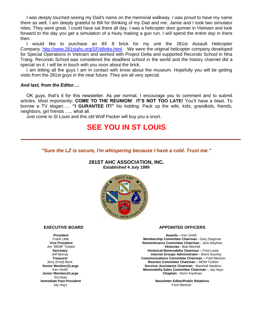I was deeply touched seeing my Dad's name on the memorial walkway. I was proud to have my name there as well. I am deeply grateful to Bill for thinking of my Dad and me. Jamie and I took two simulator rides. They were great. I could have sat there all day. I was a helicopter door gunner in Vietnam and look forward to the day you get a simulation of a Huey making a gun run. I will spend the entire day in there then.

 I would like to purchase an 8X 8 brick for my unit the 281st Assault Helicopter Company.<http://www.281stahc.org/SF/sflinks.html>We were the original helicopter company developed for Special Operations in Vietnam and worked with Project Delta and supported Recondo School in Nha Trang. Recondo School was considered the deadliest school in the world and the history channel did a special on it. I will be in touch with you soon about the brick.

 I am letting all the guys I am in contact with know about the museum. Hopefully you will be getting visits from the 281st guys in the near future. They are all very special.

#### *And last, from the Editor….*

OK guys, that's it for this newsletter. As per normal, I encourage you to comment and to submit articles. Most importantly; **COME TO THE REUNION! IT'S NOT TOO LATE!** You'll have a blast. To borrow a TV slogan….. **"I GURANTEE IT!"** No kidding. Pack up the wife, kids, grandkids, friends, neighbors, girl friends ….. what all.

Just come to St Louis and this old Wolf Packer will buy you a snort.

#### **SEE YOU IN ST LOUIS**

*"Sure the LZ is secure, I'm whispering because I have a cold. Trust me."*

**281ST AHC ASSOCIATION, INC. Established 4 July 1999** 



Ed Haas

#### **EXECUTIVE BOARD APPOINTED OFFICERS**

**President Awards –** Ken Smith Frank Little **Membership Committee Chairman -** Gary Stagman **Vice President Committee Chairman - Jack Mayhew Remembrance Committee Chairman - Jack Mayhew Historian - Bob Mitchell Historian - Bob Mitchell Secretary Historical Memorabilia Chairman –** Fred Lewis Jeff Murray **Internet Groups Administrator -** Brent Gourley **Treasurer Communications Communications Communications Communications Communications Communications Communications Communications Communications Communications Communications Communications Communications Communications C**  Jerry (Fred) Beck **Reunion Committee Chairman –** MOM Torbert **Survivor Assistance Chairman - Marshall Hawkins Ken Smith Memorabilia Sales Committee Chairman** – Jay Hays  **Junior Member@Large Chaplain** - Norm Kaufman

**Immediate Past President Newsletter Editor/Public Relations** Jay Hays Fred Mentzer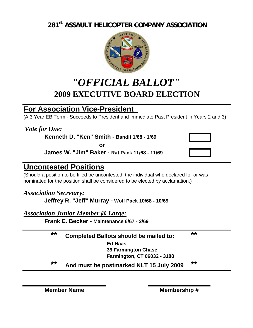**281st ASSAULT HELICOPTER COMPANY ASSOCIATION**



### *"OFFICIAL BALLOT"* **2009 EXECUTIVE BOARD ELECTION**

### **For Association Vice-President**

(A 3 Year EB Term - Succeeds to President and Immediate Past President in Years 2 and 3)

*Vote for One:*

**Kenneth D. "Ken" Smith - Bandit 1/68 - 1/69**

**or**

**James W. "Jim" Baker - Rat Pack 11/68 - 11/69**

#### **Uncontested Positions**

(Should a position to be filled be uncontested, the individual who declared for or was nominated for the position shall be considered to be elected by acclamation.)

#### *Association Secretary:*

**Jeffrey R. "Jeff" Murray - Wolf Pack 10/68 - 10/69**

*Association Junior Member @ Large:*

**Frank E. Becker - Maintenance 6/67 - 2/69**

### **\*\* Completed Ballots should be mailed to: \*\***

**Ed Haas**

**39 Farmington Chase Farmington, CT 06032 - 3188**

**\*\* And must be postmarked NLT 15 July 2009 \*\***

**Member Name Membership #**